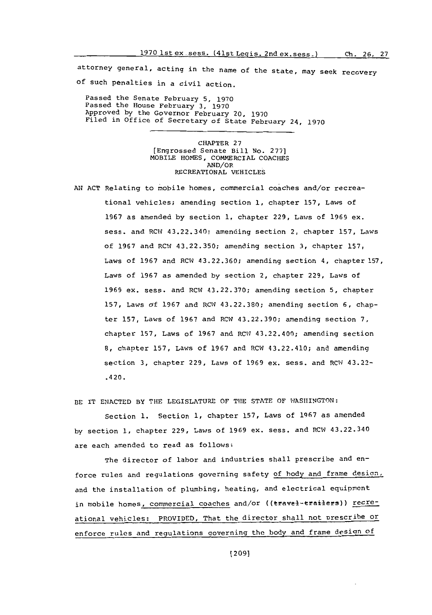attorney general, acting in the name of the state, may seek recovery of such penalties in a civil action.

Passed the Senate February **5, 1970** Passed the House February **3, 1970** Approved **by** the Governor February 20, **<sup>1970</sup>** Filed in Office of Secretary of State February 24, **<sup>1970</sup>**

> CHAPTER **27** [Engrossed Senate Bill No. **277]** MOBILE **HOMES,** COMMERCIAL **COACHES** AND/OR RECREATIONAL **VEHICLES**

**A!; ACT** Relating to mobile homes, commercial coaches and/or recreational vehicles; amending section **1,** chapter **157,** Laws **of 1967** as amended **by** section **1,** chapter **229,** Laws of **1969** ax. sess. and RCW 43.22.340; amending section 2, chapter **157,** Laws of **1967** and RCW 43.22.350; amending section **3,** chapter **157,** Laws of **1967** and RCWq 43.22.360; amending section 4, chapter **157,** Laws of **1967** as amended **by** section 2, chapter **229,** Laws **of 1969** ex. sess. and RCW **43.22.370;** amending section **5,** chapter **157,** Laws of **1967** and RCWq **43.22.380;** amending section **6,** chapter **157,** Laws of **1967** and RCW 43.22.390; amending section **7,** chapter **157,** Laws **of 1967** and RCW 43.22.400; amending section **8,** chapter **157,** Laws of **1967** and RCW 43.22.410; and amending section **3,** chapter **229,** Laws of **1969** ex. sess. and RCW 43.22- .420.

BE IT ENACTED BY THE LEGISLATURE OF THE STATE OF WASHINGTON:

Section 1. Section 1, chapter 157, Laws of 1967 as amended **by** section **1,** chapter **229,** Laws of **1969** ex. sass, and RCW 43.22.340 are each amended to read as follows:

The director **of** labor and industries shall prescribe and enforce rules and regulations governing safety of body and frame design, and the installation of plumbing, heating, and electrical equipment in mobile homes, commercial coaches and/or ((travel-trailers)) recreational vehicles: PROVIDED, That the director shall not prescribe or enforce rules and regulations governing the body and frame design of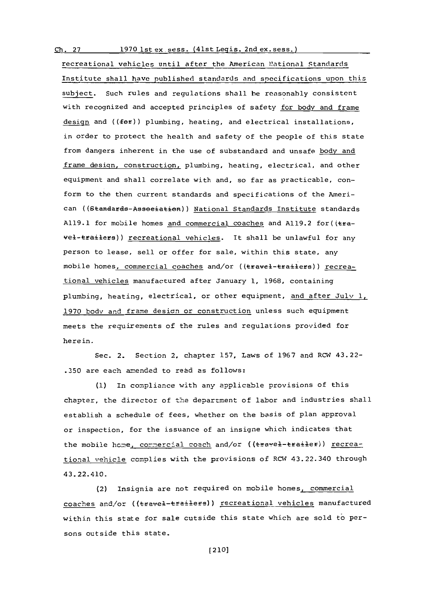**Ch. 27 1970** Ist ex. sess. (41st Legis. 2nd ex. sess.)

recreational vehicles until after the American National Standards Institute shall have published standards and specifications upon this subject. Such rules and regulations shall be reasonably consistent with recognized and accepted principles of safety for body and frame design and  $((f e f))$  plumbing, heating, and electrical installations, in order to protect the health and safety of the people of this state from dangers inherent in the use of substandard and unsafe body and frame design, construction, plumbing, heating, electrical, and other equipment and shall correlate with and, so far as practicable, conform to the then current standards and specifications of the American ((Gtandareds-AsseeiatieR)) National Standards Institute standards **A119.1** for mobile homes and commercial coaches and **A119.2** for((tavel-tfailers)) recreational vehicles. It shall be unlawful for any person to lease, sell or offer for sale, within this state, any mobile homes, commercial coaches and/or ((travel-trailers)) recreational vehicles manufactured after January **1, 1968,** containing plumbing, heating, electrical, or other equipment, and after July **1, <sup>1970</sup>**body and frame desicn or construction unless such equipment meets the requirements of the rules and regulations provided for here in.

Sec. 2. Section 2, chapter **157,** Laws **of 1967** and RCW 43.22- **.350** are each amended to read as follows:

**(1)** in comnpliance with any applicable provisions of this chapter, the director of the department **of** labor and industries shall establish a schedule of fees, whether on the basis of plan approval or inspection, for the issuance of an insigne which indicates that the mobile home, commercial coach and/or ((travel-trailer)) recreational vehicle complies with the provisions of RCW 43.22.340 through 43. 22.410.

(2) Insignia are not required on mobile homes, commercial coaches and/or ((travel-trailers)) recreational vehicles manufactured within this state for sale outside this state which are sold to persons outside this state.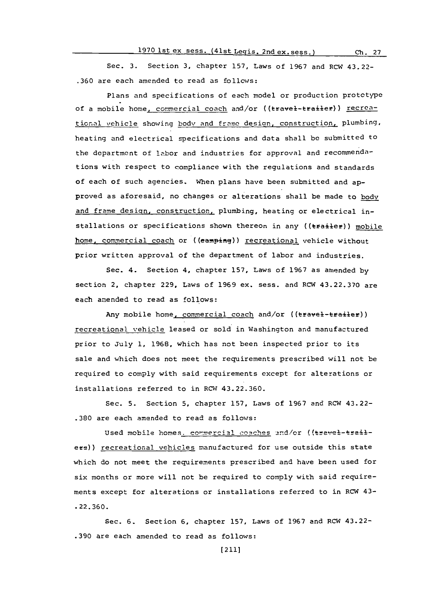Sec. **3.** Section **3,** chapter **157,** Laws of **1967** and ROW 43.22- **.360** are each amended to read as follows:

Plans and specifications of each model or production prototype of a mobile home, commercial coach and/or ((travel-trailer)) recreational vehicle showing body and frame design, construction, plumbing, heating and electrical specifications and data shall **be** submitted to the department of labor and industries for approval and recommendations with respect to compliance with the regulations and standards of each of such agencies. When plans have been submitted and approved as aforesaid, no changes or alterations shall be made to body and frame design, construction, plumbing, heating or electrical installations or specifications shown thereon in any ((trailer)) mobile home, commercial coach or ((eamping)) recreational vehicle without prior written approval of the department of labor and industries.

Sec. 4. Section 4, chapter **157,** Laws of **1967** as amended **by** section 2, chapter **229,** Laws of **1969** ex. sess. and ROW **43.22.370** are each amended to read as follows:

Any mobile home, commercial coach and/or ((travel-trailer)) recreational vehicle leased or sold in Washington and manufactured prior to July **1, 1968,** which has not been inspected prior to its sale and which does not meet the requirements prescribed will not be required to comply with said requirements except for alterations or installations referred to in RCW 43.22.360.

Sec. **5.** Section **5,** chapter **157,** Laws of **1967** and RCW 43.22- **.380** are each amended to read as follows:

Used mobile homes. commercial coaches and/or ((travel-trailere)) recreational vehicles manufactured for use outside this state which do not meet the requirements prescribed and have been used for six months or more will not be required to comply with said requirements except for alterations or installations referred to in RCW 43-**.22.360.**

Sec. **6.** Section **6,** chapter **157,** Laws of **1967** and ROW 43.22- **.390** are each amended to read as follows: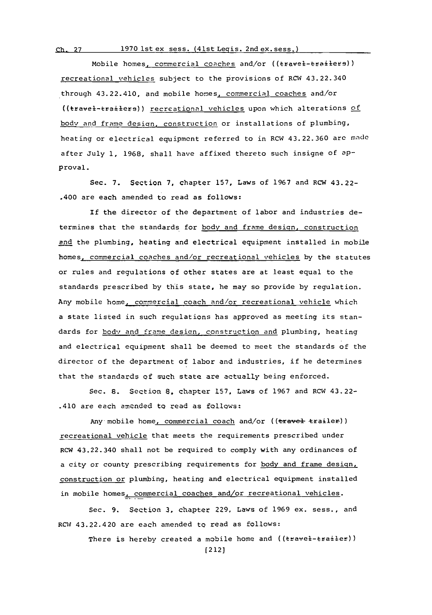## **Ch. 27 1970** Ist ex sess. (41st Legis. 2nd ex. sess.)

Mobile homes, commercial coaches and/or ((travel-trailers)) recreational vehicles subject to the provisions of RCW 43.22.340 through 43.22.410, and mobile homes, commercial coaches and/or ((travel-trailers)) recreational vehicles upon which alterations of body and frame desian. construction or installations of plumbing, heating or electrical equipment referred to in RCW 43.22.360 arc made after July **1, 1968,** shall have affixed thereto such insigne of aPproval.

Sec. **7.** Section **7,** chapter **157,** Laws of **1967** and RCW 43.22- .400 are each amended to read as follows:

If the director of the department of labor and industries determines that the standards for body and frame design, construction and the plumbing, heating and electrical equipment installed in mobile homes. commercial coaches and/or recreational vehicles **by** the statutes or rules and regulations of other states are at least equal to the standards prescribed **by** this state, he may so provide **by** regulation. Any mobile home, commercial coach and/or recreational vehicle which a state listed in such regulations has approved as meeting its standards for body and frame design, construction and plumbing, heating and electrical equipment shall be deemed to meet the standards of the director of the department of labor and industries, if he determines that the standards of such state are actually being enforced.

Sec. **8.** Section **S.** chapter **157,** Laws of **1967** and ROW 43.22- .410 are each amended to read as follows:

Any mobile home, commercial coach and/or ((travel trailer)) recreational vehicle that meets the requirements prescribed under RCW 43.22.340 shall not be required to comply with any ordinances of a city or county prescribing requirements for body and frame design, construction or plumbing, heating and electrical equipment installed in mobile homes, commercial coaches and/or recreational vehicles.

Sec. **9.** Secztion **3,** chapter **229,** Laws of **1969** ex. sess., and RCW 43.22.420 are each amended to read as follows:

> There is hereby created a mobile home and  $((\texttt{travel-trai-ler}))$ [2121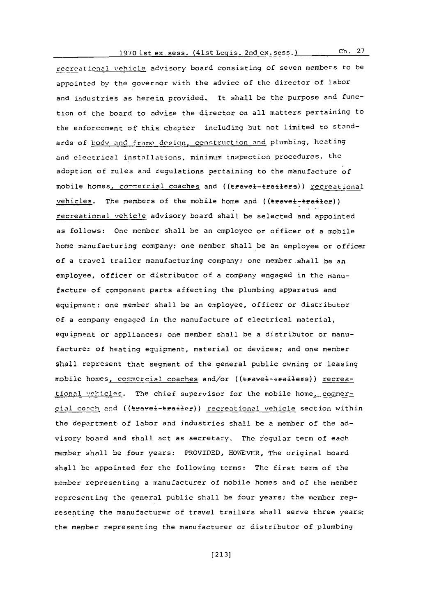## **1970** ist ex. sess. (41st Legis. 2nd ex. sess.) **Ch. <sup>27</sup>**

recreational vehicle advisory board consisting of seven members to be appointed by the governor with the advice of the director of labor and industries as herein provided. It shall be the purpose and function of the board to advise the director on all matters pertaining to the enforcement of this chapter including but not limited to standards of body and frame design, construction and plumbing, heating and electrical installations, minimum inspection procedures, the adoption of rules and regulations pertaining to the manufacture **of** mobile homes, commercial coaches and ((travel-trailers)) recreational vehicles. The members of the mobile home and ((travel-trailer)) recreational vehicle advisory board shall be selected and appointed as follows: One member shall be an employee or officer **of** a mobile home manufacturing company; one member shall be an employee or officer of a travel trailer manufacturing company; one member shall be an employee, officer or distributor of a company engaged in the manufacture of component parts affecting the plumbing apparatus and equipment; one member shall be an employee, officer or distributor of a company engaged in the manufacture of electrical material, equipment or appliances; one member shall be a distributor or manufacturer of heating equipment, material or devices; and one member shall represent that segment of the general public owning or leasing mobile homes, commercial coaches and/or ((travel-trailers)) recreational vehicles. The chief supervisor for the mobile home, commercial coach and ((teavel-trailer)) recreational vehicle section within the department of labor and industries shall be a member of the advisory board and shall act as secretary. The regular term of each member shall be four years: PROVIDED, HOWEVER, The original board shall be appointed for the following terms: The first term of the member representing a manufacturer of mobile homes and of the member representing the general public shall be four years; the member representing the manufacturer of travel trailers shall serve three years; the member representing the manufacturer or distributor of plumbing

**[213]**